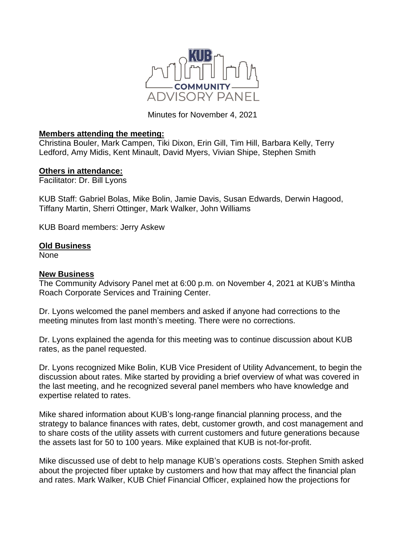

Minutes for November 4, 2021

## **Members attending the meeting:**

Christina Bouler, Mark Campen, Tiki Dixon, Erin Gill, Tim Hill, Barbara Kelly, Terry Ledford, Amy Midis, Kent Minault, David Myers, Vivian Shipe, Stephen Smith

## **Others in attendance:**

Facilitator: Dr. Bill Lyons

KUB Staff: Gabriel Bolas, Mike Bolin, Jamie Davis, Susan Edwards, Derwin Hagood, Tiffany Martin, Sherri Ottinger, Mark Walker, John Williams

KUB Board members: Jerry Askew

## **Old Business**

None

## **New Business**

The Community Advisory Panel met at 6:00 p.m. on November 4, 2021 at KUB's Mintha Roach Corporate Services and Training Center.

Dr. Lyons welcomed the panel members and asked if anyone had corrections to the meeting minutes from last month's meeting. There were no corrections.

Dr. Lyons explained the agenda for this meeting was to continue discussion about KUB rates, as the panel requested.

Dr. Lyons recognized Mike Bolin, KUB Vice President of Utility Advancement, to begin the discussion about rates. Mike started by providing a brief overview of what was covered in the last meeting, and he recognized several panel members who have knowledge and expertise related to rates.

Mike shared information about KUB's long-range financial planning process, and the strategy to balance finances with rates, debt, customer growth, and cost management and to share costs of the utility assets with current customers and future generations because the assets last for 50 to 100 years. Mike explained that KUB is not-for-profit.

Mike discussed use of debt to help manage KUB's operations costs. Stephen Smith asked about the projected fiber uptake by customers and how that may affect the financial plan and rates. Mark Walker, KUB Chief Financial Officer, explained how the projections for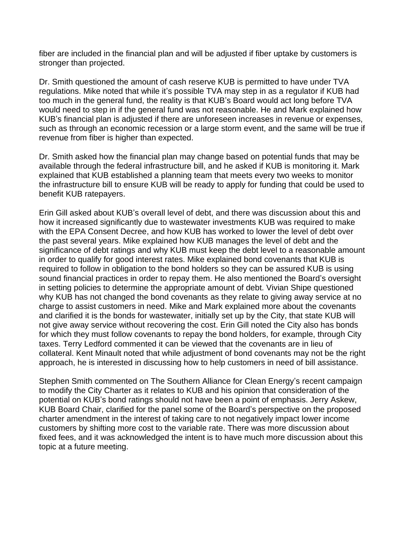fiber are included in the financial plan and will be adjusted if fiber uptake by customers is stronger than projected.

Dr. Smith questioned the amount of cash reserve KUB is permitted to have under TVA regulations. Mike noted that while it's possible TVA may step in as a regulator if KUB had too much in the general fund, the reality is that KUB's Board would act long before TVA would need to step in if the general fund was not reasonable. He and Mark explained how KUB's financial plan is adjusted if there are unforeseen increases in revenue or expenses, such as through an economic recession or a large storm event, and the same will be true if revenue from fiber is higher than expected.

Dr. Smith asked how the financial plan may change based on potential funds that may be available through the federal infrastructure bill, and he asked if KUB is monitoring it. Mark explained that KUB established a planning team that meets every two weeks to monitor the infrastructure bill to ensure KUB will be ready to apply for funding that could be used to benefit KUB ratepayers.

Erin Gill asked about KUB's overall level of debt, and there was discussion about this and how it increased significantly due to wastewater investments KUB was required to make with the EPA Consent Decree, and how KUB has worked to lower the level of debt over the past several years. Mike explained how KUB manages the level of debt and the significance of debt ratings and why KUB must keep the debt level to a reasonable amount in order to qualify for good interest rates. Mike explained bond covenants that KUB is required to follow in obligation to the bond holders so they can be assured KUB is using sound financial practices in order to repay them. He also mentioned the Board's oversight in setting policies to determine the appropriate amount of debt. Vivian Shipe questioned why KUB has not changed the bond covenants as they relate to giving away service at no charge to assist customers in need. Mike and Mark explained more about the covenants and clarified it is the bonds for wastewater, initially set up by the City, that state KUB will not give away service without recovering the cost. Erin Gill noted the City also has bonds for which they must follow covenants to repay the bond holders, for example, through City taxes. Terry Ledford commented it can be viewed that the covenants are in lieu of collateral. Kent Minault noted that while adjustment of bond covenants may not be the right approach, he is interested in discussing how to help customers in need of bill assistance.

Stephen Smith commented on The Southern Alliance for Clean Energy's recent campaign to modify the City Charter as it relates to KUB and his opinion that consideration of the potential on KUB's bond ratings should not have been a point of emphasis. Jerry Askew, KUB Board Chair, clarified for the panel some of the Board's perspective on the proposed charter amendment in the interest of taking care to not negatively impact lower income customers by shifting more cost to the variable rate. There was more discussion about fixed fees, and it was acknowledged the intent is to have much more discussion about this topic at a future meeting.